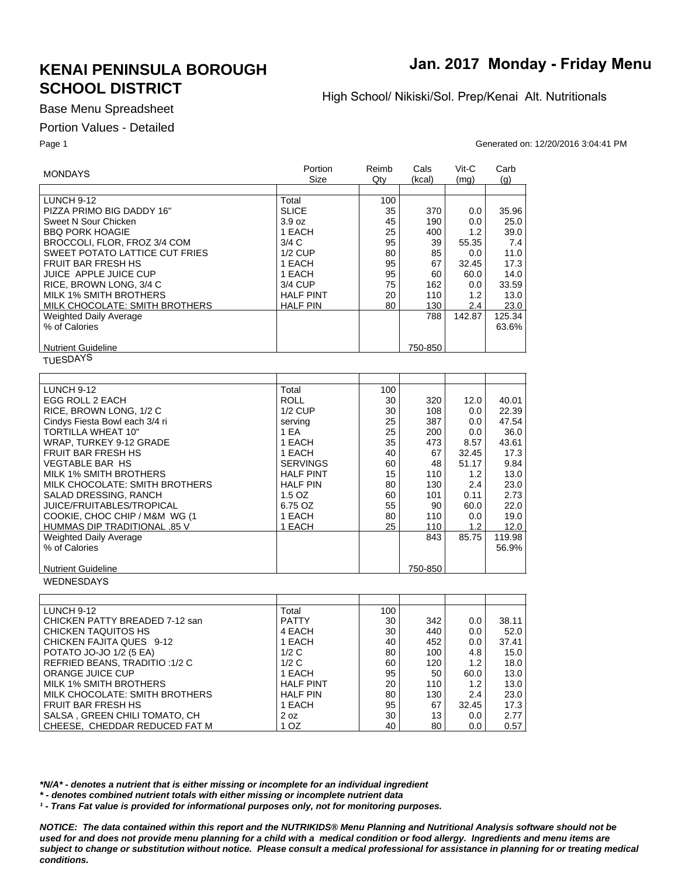## **KENAI PENINSULA BOROUGH SCHOOL DISTRICT**

## **Jan. 2017 Monday - Friday Menu**

High School/ Nikiski/Sol. Prep/Kenai Alt. Nutritionals

Base Menu Spreadsheet

#### Portion Values - Detailed

Page 1 Generated on: 12/20/2016 3:04:41 PM

| <b>MONDAYS</b>                   | Portion<br>Size  | Reimb<br>Qty | Cals<br>(kcal) | Vit-C<br>(mq) | Carb<br>(q) |
|----------------------------------|------------------|--------------|----------------|---------------|-------------|
|                                  |                  |              |                |               |             |
| <b>LUNCH 9-12</b>                | Total            | 100          |                |               |             |
| PIZZA PRIMO BIG DADDY 16"        | <b>SLICE</b>     | 35           | 370            | 0.0           | 35.96       |
| Sweet N Sour Chicken             | 3.9 oz           | 45           | 190            | 0.0           | 25.0        |
| <b>BBQ PORK HOAGIE</b>           | 1 EACH           | 25           | 400            | 1.2           | 39.0        |
| BROCCOLI, FLOR, FROZ 3/4 COM     | 3/4C             | 95           | 39             | 55.35         | 7.4         |
| SWEET POTATO LATTICE CUT FRIES   | $1/2$ CUP        | 80           | 85             | 0.0           | 11.0        |
| <b>FRUIT BAR FRESH HS</b>        | 1 EACH           | 95           | 67             | 32.45         | 17.3        |
| JUICE APPLE JUICE CUP            | 1 EACH           | 95           | 60             | 60.0          | 14.0        |
| RICE, BROWN LONG, 3/4 C          | 3/4 CUP          | 75           | 162            | 0.0           | 33.59       |
| <b>MILK 1% SMITH BROTHERS</b>    | <b>HALF PINT</b> | 20           | 110            | 1.2           | 13.0        |
| MILK CHOCOLATE: SMITH BROTHERS   | <b>HALF PIN</b>  | 80           | 130            | 2.4           | 23.0        |
| <b>Weighted Daily Average</b>    |                  |              | 788            | 142.87        | 125.34      |
| % of Calories                    |                  |              |                |               | 63.6%       |
|                                  |                  |              |                |               |             |
|                                  |                  |              |                |               |             |
| <b>Nutrient Guideline</b>        |                  |              | 750-850        |               |             |
| <b>TUESDAYS</b>                  |                  |              |                |               |             |
|                                  |                  |              |                |               |             |
| LUNCH 9-12                       | Total            | 100          |                |               |             |
| EGG ROLL 2 EACH                  | <b>ROLL</b>      | 30           | 320            | 12.0          | 40.01       |
| RICE, BROWN LONG, 1/2 C          | $1/2$ CUP        | 30           | 108            | 0.0           | 22.39       |
| Cindys Fiesta Bowl each 3/4 ri   | serving          | 25           | 387            | 0.0           | 47.54       |
| <b>TORTILLA WHEAT 10"</b>        | 1 EA             | 25           | 200            | 0.0           | 36.0        |
| WRAP, TURKEY 9-12 GRADE          | 1 EACH           | 35           | 473            | 8.57          | 43.61       |
| <b>FRUIT BAR FRESH HS</b>        | 1 EACH           | 40           | 67             | 32.45         | 17.3        |
| <b>VEGTABLE BAR HS</b>           | <b>SERVINGS</b>  | 60           | 48             | 51.17         | 9.84        |
| <b>MILK 1% SMITH BROTHERS</b>    | <b>HALF PINT</b> | 15           | 110            | 1.2           | 13.0        |
| MILK CHOCOLATE: SMITH BROTHERS   | <b>HALF PIN</b>  | 80           | 130            | 2.4           | 23.0        |
| SALAD DRESSING, RANCH            | 1.5 OZ           | 60           | 101            | 0.11          | 2.73        |
| <b>JUICE/FRUITABLES/TROPICAL</b> | 6.75 OZ          | 55           | 90             | 60.0          | 22.0        |
| COOKIE, CHOC CHIP / M&M WG (1    | 1 EACH           | 80           | 110            | 0.0           | 19.0        |
| HUMMAS DIP TRADITIONAL .85 V     |                  | 25           |                | 1.2           | 12.0        |
|                                  | 1 EACH           |              | 110<br>843     | 85.75         | 119.98      |
| <b>Weighted Daily Average</b>    |                  |              |                |               |             |
| % of Calories                    |                  |              |                |               | 56.9%       |
| <b>Nutrient Guideline</b>        |                  |              | 750-850        |               |             |
| <b>WEDNESDAYS</b>                |                  |              |                |               |             |
|                                  |                  |              |                |               |             |
| LUNCH 9-12                       | Total            | 100          |                |               |             |
| CHICKEN PATTY BREADED 7-12 san   | <b>PATTY</b>     | 30           | 342            | 0.0           | 38.11       |
| <b>CHICKEN TAQUITOS HS</b>       | 4 EACH           | 30           | 440            | 0.0           | 52.0        |
| CHICKEN FAJITA QUES 9-12         | 1 EACH           | 40           | 452            | 0.0           | 37.41       |
| POTATO JO-JO 1/2 (5 EA)          | 1/2C             | 80           | 100            | 4.8           | 15.0        |
| REFRIED BEANS, TRADITIO: 1/2 C   | 1/2C             | 60           | 120            | 1.2           | 18.0        |
| ORANGE JUICE CUP                 | 1 EACH           | 95           | 50             | 60.0          | 13.0        |
| <b>MILK 1% SMITH BROTHERS</b>    | <b>HALF PINT</b> | 20           | 110            | 1.2           | 13.0        |
| MILK CHOCOLATE: SMITH BROTHERS   | <b>HALF PIN</b>  | 80           | 130            | 2.4           | 23.0        |
| FRUIT BAR FRESH HS               | 1 EACH           | 95           | 67             | 32.45         | 17.3        |

2 oz 1 OZ

*\*N/A\* - denotes a nutrient that is either missing or incomplete for an individual ingredient*

*\* - denotes combined nutrient totals with either missing or incomplete nutrient data*

SALSA , GREEN CHILI TOMATO, CH CHEESE, CHEDDAR REDUCED FAT M

*¹ - Trans Fat value is provided for informational purposes only, not for monitoring purposes.*

*NOTICE: The data contained within this report and the NUTRIKIDS® Menu Planning and Nutritional Analysis software should not be used for and does not provide menu planning for a child with a medical condition or food allergy. Ingredients and menu items are subject to change or substitution without notice. Please consult a medical professional for assistance in planning for or treating medical conditions.*

30 40

13 80

0.0 0.0

2.77 0.57